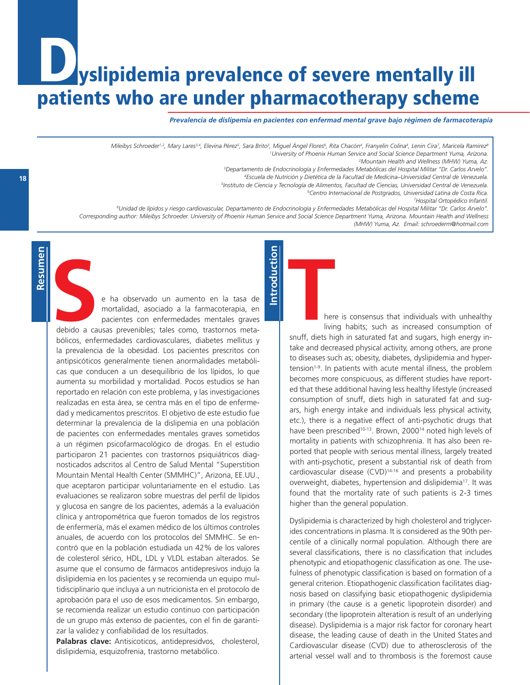## Dyslipidemia prevalence of severe mentally ill patients who are under pharmacotherapy scheme

*Prevalencia de dislipemia en pacientes con enfermad mental grave bajo régimen de farmacoterapia*

*Mileibys Schroeder<sup>1,2</sup>, Mary Lares<sup>3,4</sup>, Elevina Pérez<sup>5</sup>, Sara Brito<sup>3</sup>, Miguel Ángel Flores<sup>6</sup>, Rita Chacón<sup>4</sup>, Franyelin Colina<sup>4</sup>, Lenin Cira<sup>7</sup>, Maricela Ramirez<sup>8</sup> 1 University of Phoenix Human Service and Social Science Department Yuma, Arizona. 2*

*Mountain Health and Wellness (MHW) Yuma, Az. 3 Departamento de Endocrinología y Enfermedades Metabólicas del Hospital Militar "Dr. Carlos Arvelo". 4*

*Escuela de Nutrición y Dietética de la Facultad de Medicina–Universidad Central de Venezuela. 5*

*Instituto de Ciencia y Tecnología de Alimentos, Facultad de Ciencias, Universidad Central de Venezuela. 6*

*Centro Internacional de Postgrados, Universidad Latina de Costa Rica. 7*

*Hospital Ortopédico Infantil.*

*8 Unidad de lípidos y riesgo cardiovascular, Departamento de Endocrinología y Enfermedades Metabólicas del Hospital Militar "Dr. Carlos Arvelo". Corresponding author: Mileibys Schroeder. University of Phoenix Human Service and Social Science Department Yuma, Arizona. Mountain Health and Wellness (MHW) Yuma, Az. Email: schroederm@hotmail.com* 

**18**

e ha observado un aumento en la tasa de mortalidad, asociado a la farmacoterapia, en pacientes con enfermedades mentales graves

debido a causas prevenibles; tales como, trastornos metabólicos, enfermedades cardiovasculares, diabetes mellitus y la prevalencia de la obesidad. Los pacientes prescritos con antipsicóticos generalmente tienen anormalidades metabólicas que conducen a un desequilibrio de los lípidos, lo que aumenta su morbilidad y mortalidad. Pocos estudios se han reportado en relación con este problema, y las investigaciones realizadas en esta área, se centra más en el tipo de enfermedad y medicamentos prescritos. El objetivo de este estudio fue determinar la prevalencia de la dislipemia en una población de pacientes con enfermedades mentales graves sometidos a un régimen psicofarmacológico de drogas. En el estudio participaron 21 pacientes con trastornos psiquiátricos diagnosticados adscritos al Centro de Salud Mental "Superstition Mountain Mental Health Center (SMMHC)", Arizona, EE.UU., que aceptaron participar voluntariamente en el estudio. Las evaluaciones se realizaron sobre muestras del perfil de lípidos y glucosa en sangre de los pacientes, además a la evaluación clínica y antropométrica que fueron tomados de los registros de enfermería, más el examen médico de los últimos controles anuales, de acuerdo con los protocolos del SMMHC. Se encontró que en la población estudiada un 42% de los valores de colesterol sérico, HDL, LDL y VLDL estaban alterados. Se asume que el consumo de fármacos antidepresivos indujo la dislipidemia en los pacientes y se recomienda un equipo multidisciplinario que incluya a un nutricionista en el protocolo de aprobación para el uso de esos medicamentos. Sin embargo, se recomienda realizar un estudio continuo con participación de un grupo más extenso de pacientes, con el fin de garantizar la validez y confiabilidad de los resultados.

Palabras clave: Antisicoticos, antidepresidvos, cholesterol, dislipidemia, esquizofrenia, trastorno metabólico.

**Introduction**

ntroduction

here is consensus that individuals with unhealthy living habits; such as increased consumption of snuff, diets high in saturated fat and sugars, high energy intake and decreased physical activity, among others, are prone to diseases such as; obesity, diabetes, dyslipidemia and hypertension<sup>1-9</sup>. In patients with acute mental illness, the problem becomes more conspicuous, as different studies have reported that these additional having less healthy lifestyle (increased consumption of snuff, diets high in saturated fat and sugars, high energy intake and individuals less physical activity, etc.), there is a negative effect of anti-psychotic drugs that have been prescribed<sup>10-13</sup>. Brown, 2000<sup>14</sup> noted high levels of mortality in patients with schizophrenia. It has also been reported that people with serious mental illness, largely treated with anti-psychotic, present a substantial risk of death from cardiovascular disease (CVD)14-16 and presents a probability overweight, diabetes, hypertension and dislipidemia<sup>17</sup>. It was found that the mortality rate of such patients is 2-3 times higher than the general population.

Dyslipidemia is characterized by high cholesterol and triglycerides concentrations in plasma. It is considered as the 90th percentile of a clinically normal population. Although there are several classifications, there is no classification that includes phenotypic and etiopathogenic classification as one. The usefulness of phenotypic classification is based on formation of a general criterion. Etiopathogenic classification facilitates diagnosis based on classifying basic etiopathogenic dyslipidemia in primary (the cause is a genetic lipoprotein disorder) and secondary (the lipoprotein alteration is result of an underlying disease). Dyslipidemia is a major risk factor for coronary heart disease, the leading cause of death in the United States and Cardiovascular disease (CVD) due to atherosclerosis of the arterial vessel wall and to thrombosis is the foremost cause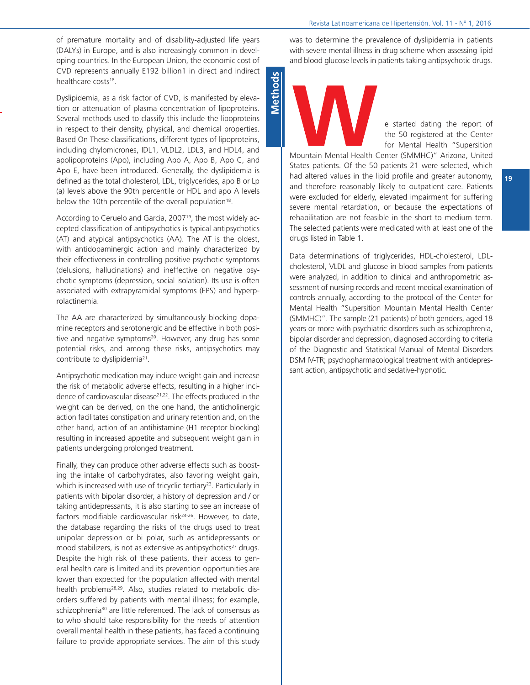of premature mortality and of disability-adjusted life years (DALYs) in Europe, and is also increasingly common in developing countries. In the European Union, the economic cost of CVD represents annually E192 billion1 in direct and indirect healthcare costs<sup>18</sup>.

Dyslipidemia, as a risk factor of CVD, is manifested by elevation or attenuation of plasma concentration of lipoproteins. Several methods used to classify this include the lipoproteins in respect to their density, physical, and chemical properties. Based On These classifications, different types of lipoproteins, including chylomicrones, IDL1, VLDL2, LDL3, and HDL4, and apolipoproteins (Apo), including Apo A, Apo B, Apo C, and Apo E, have been introduced. Generally, the dyslipidemia is defined as the total cholesterol, LDL, triglycerides, apo B or Lp (a) levels above the 90th percentile or HDL and apo A levels below the 10th percentile of the overall population<sup>18</sup>.

According to Ceruelo and Garcia, 2007<sup>19</sup>, the most widely accepted classification of antipsychotics is typical antipsychotics (AT) and atypical antipsychotics (AA). The AT is the oldest, with antidopaminergic action and mainly characterized by their effectiveness in controlling positive psychotic symptoms (delusions, hallucinations) and ineffective on negative psychotic symptoms (depression, social isolation). Its use is often associated with extrapyramidal symptoms (EPS) and hyperprolactinemia.

The AA are characterized by simultaneously blocking dopamine receptors and serotonergic and be effective in both positive and negative symptoms<sup>20</sup>. However, any drug has some potential risks, and among these risks, antipsychotics may contribute to dyslipidemia<sup>21</sup>.

Antipsychotic medication may induce weight gain and increase the risk of metabolic adverse effects, resulting in a higher incidence of cardiovascular disease $21,22$ . The effects produced in the weight can be derived, on the one hand, the anticholinergic action facilitates constipation and urinary retention and, on the other hand, action of an antihistamine (H1 receptor blocking) resulting in increased appetite and subsequent weight gain in patients undergoing prolonged treatment.

Finally, they can produce other adverse effects such as boosting the intake of carbohydrates, also favoring weight gain, which is increased with use of tricyclic tertiary<sup>23</sup>. Particularly in patients with bipolar disorder, a history of depression and / or taking antidepressants, it is also starting to see an increase of factors modifiable cardiovascular risk<sup>24-26</sup>. However, to date, the database regarding the risks of the drugs used to treat unipolar depression or bi polar, such as antidepressants or mood stabilizers, is not as extensive as antipsychotics<sup>27</sup> drugs. Despite the high risk of these patients, their access to general health care is limited and its prevention opportunities are lower than expected for the population affected with mental health problems<sup>28,29</sup>. Also, studies related to metabolic disorders suffered by patients with mental illness; for example, schizophrenia<sup>30</sup> are little referenced. The lack of consensus as to who should take responsibility for the needs of attention overall mental health in these patients, has faced a continuing failure to provide appropriate services. The aim of this study

was to determine the prevalence of dyslipidemia in patients with severe mental illness in drug scheme when assessing lipid and blood glucose levels in patients taking antipsychotic drugs.

Mountain Mental Health Center (SMMHC)" Arizona, United

Methods **Methods**

> e started dating the report of the 50 registered at the Center for Mental Health "Supersition

States patients. Of the 50 patients 21 were selected, which had altered values in the lipid profile and greater autonomy, and therefore reasonably likely to outpatient care. Patients were excluded for elderly, elevated impairment for suffering severe mental retardation, or because the expectations of rehabilitation are not feasible in the short to medium term. The selected patients were medicated with at least one of the drugs listed in Table 1.

Data determinations of triglycerides, HDL-cholesterol, LDLcholesterol, VLDL and glucose in blood samples from patients were analyzed, in addition to clinical and anthropometric assessment of nursing records and recent medical examination of controls annually, according to the protocol of the Center for Mental Health "Supersition Mountain Mental Health Center (SMMHC)". The sample (21 patients) of both genders, aged 18 years or more with psychiatric disorders such as schizophrenia, bipolar disorder and depression, diagnosed according to criteria of the Diagnostic and Statistical Manual of Mental Disorders DSM IV-TR; psychopharmacological treatment with antidepressant action, antipsychotic and sedative-hypnotic.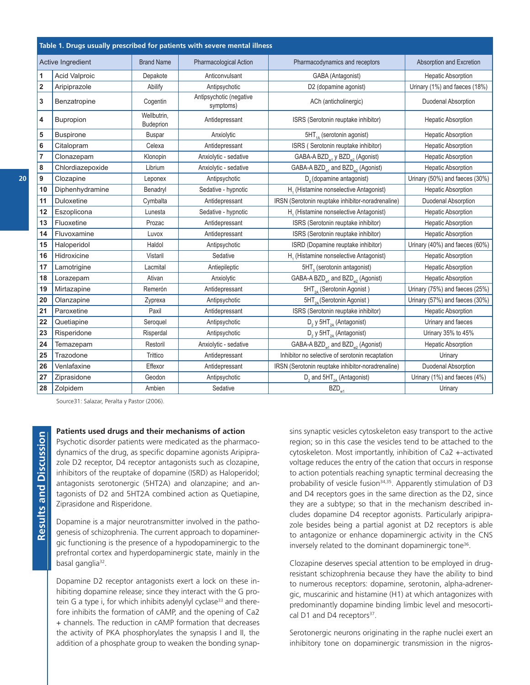| Table 1. Drugs usually prescribed for patients with severe mental illness |                      |                          |                                      |                                                          |                                |  |
|---------------------------------------------------------------------------|----------------------|--------------------------|--------------------------------------|----------------------------------------------------------|--------------------------------|--|
| <b>Active Ingredient</b>                                                  |                      | <b>Brand Name</b>        | Pharmacological Action               | Pharmacodynamics and receptors                           | Absorption and Excretion       |  |
| 1                                                                         | <b>Acid Valproic</b> | Depakote                 | Anticonvulsant                       | GABA (Antagonist)                                        | <b>Hepatic Absorption</b>      |  |
| 2                                                                         | Aripiprazole         | Abilify                  | Antipsychotic                        | D2 (dopamine agonist)                                    | Urinary (1%) and faeces (18%)  |  |
| 3                                                                         | Benzatropine         | Cogentin                 | Antipsychotic (negative<br>symptoms) | ACh (anticholinergic)                                    | Duodenal Absorption            |  |
| 4                                                                         | Bupropion            | Wellbutrin.<br>Budeprion | Antidepressant                       | ISRS (Serotonin reuptake inhibitor)                      | <b>Hepatic Absorption</b>      |  |
| 5                                                                         | <b>Buspirone</b>     | <b>Buspar</b>            | Anxiolytic                           | $5HT_{1A}$ (serotonin agonist)                           | <b>Hepatic Absorption</b>      |  |
| 6                                                                         | Citalopram           | Celexa                   | Antidepressant                       | ISRS (Serotonin reuptake inhibitor)                      | <b>Hepatic Absorption</b>      |  |
| $\overline{7}$                                                            | Clonazepam           | Klonopin                 | Anxiolytic - sedative                | GABA-A BZD <sub>w1</sub> y BZD <sub>w2</sub> (Agonist)   | <b>Hepatic Absorption</b>      |  |
| 8                                                                         | Chlordiazepoxide     | Librium                  | Anxiolytic - sedative                | GABA-A BZD <sub>w1</sub> and BZD <sub>w2</sub> (Agonist) | <b>Hepatic Absorption</b>      |  |
| 9                                                                         | Clozapine            | Leponex                  | Antipsychotic                        | D, (dopamine antagonist)                                 | Urinary (50%) and faeces (30%) |  |
| 10                                                                        | Diphenhydramine      | Benadryl                 | Sedative - hypnotic                  | H. (Histamine nonselective Antagonist)                   | <b>Hepatic Absorption</b>      |  |
| 11                                                                        | Duloxetine           | Cymbalta                 | Antidepressant                       | IRSN (Serotonin reuptake inhibitor-noradrenaline)        | Duodenal Absorption            |  |
| 12                                                                        | Eszoplicona          | Lunesta                  | Sedative - hypnotic                  | H <sub>1</sub> (Histamine nonselective Antagonist)       | <b>Hepatic Absorption</b>      |  |
| 13                                                                        | Fluoxetine           | Prozac                   | Antidepressant                       | ISRS (Serotonin reuptake inhibitor)                      | <b>Hepatic Absorption</b>      |  |
| 14                                                                        | Fluvoxamine          | Luvox                    | Antidepressant                       | ISRS (Serotonin reuptake inhibitor)                      | <b>Hepatic Absorption</b>      |  |
| 15                                                                        | Haloperidol          | Haldol                   | Antipsychotic                        | ISRD (Dopamine reuptake inhibitor)                       | Urinary (40%) and faeces (60%) |  |
| 16                                                                        | Hidroxicine          | Vistaril                 | Sedative                             | H. (Histamine nonselective Antagonist)                   | <b>Hepatic Absorption</b>      |  |
| 17                                                                        | Lamotrigine          | Lacmital                 | Antiepileptic                        | 5HT, (serotonin antagonist)                              | <b>Hepatic Absorption</b>      |  |
| 18                                                                        | Lorazepam            | Ativan                   | Anxiolytic                           | GABA-A BZD <sub>w1</sub> and BZD <sub>w2</sub> (Agonist) | <b>Hepatic Absorption</b>      |  |
| 19                                                                        | Mirtazapine          | Remerón                  | Antidepressant                       | 5HT <sub>24</sub> (Serotonin Agonist)                    | Urinary (75%) and faeces (25%) |  |
| 20                                                                        | Olanzapine           | Zyprexa                  | Antipsychotic                        | 5HT <sub>24</sub> (Serotonin Agonist)                    | Urinary (57%) and faeces (30%) |  |
| 21                                                                        | Paroxetine           | Paxil                    | Antidepressant                       | ISRS (Serotonin reuptake inhibitor)                      | <b>Hepatic Absorption</b>      |  |
| 22                                                                        | Quetiapine           | Seroquel                 | Antipsychotic                        | D <sub>2</sub> y 5HT <sub>2A</sub> (Antagonist)          | Urinary and faeces             |  |
| 23                                                                        | Risperidone          | Risperdal                | Antipsychotic                        | $D_2$ y 5HT <sub>2A</sub> (Antagonist)                   | Urinary 35% to 45%             |  |
| 24                                                                        | Temazepam            | Restoril                 | Anxiolytic - sedative                | GABA-A BZD <sub>w1</sub> and BZD <sub>w2</sub> (Agonist) | <b>Hepatic Absorption</b>      |  |
| 25                                                                        | Trazodone            | Trittico                 | Antidepressant                       | Inhibitor no selective of serotonin recaptation          | Urinary                        |  |
| 26                                                                        | Venlafaxine          | Effexor                  | Antidepressant                       | IRSN (Serotonin reuptake inhibitor-noradrenaline)        | Duodenal Absorption            |  |
| 27                                                                        | Ziprasidone          | Geodon                   | Antipsychotic                        | $D_2$ and $5HT_{2A}$ (Antagonist)                        | Urinary (1%) and faeces (4%)   |  |
| 28                                                                        | Zolpidem             | Ambien                   | Sedative                             | $BZD_{w1}$                                               | Urinary                        |  |

Source31: Salazar, Peralta y Pastor (2006).

## **Patients used drugs and their mechanisms of action**

Psychotic disorder patients were medicated as the pharmacodynamics of the drug, as specific dopamine agonists Aripiprazole D2 receptor, D4 receptor antagonists such as clozapine, inhibitors of the reuptake of dopamine (ISRD) as Haloperidol; antagonists serotonergic (5HT2A) and olanzapine; and antagonists of D2 and 5HT2A combined action as Quetiapine, Ziprasidone and Risperidone.

Dopamine is a major neurotransmitter involved in the pathogenesis of schizophrenia. The current approach to dopaminergic functioning is the presence of a hypodopaminergic to the prefrontal cortex and hyperdopaminergic state, mainly in the basal ganglia<sup>32</sup>.

Dopamine D2 receptor antagonists exert a lock on these inhibiting dopamine release; since they interact with the G protein G a type i, for which inhibits adenylyl cyclase<sup>33</sup> and therefore inhibits the formation of cAMP, and the opening of Ca2 + channels. The reduction in cAMP formation that decreases the activity of PKA phosphorylates the synapsis I and II, the addition of a phosphate group to weaken the bonding synapsins synaptic vesicles cytoskeleton easy transport to the active region; so in this case the vesicles tend to be attached to the cytoskeleton. Most importantly, inhibition of Ca2 +-activated voltage reduces the entry of the cation that occurs in response to action potentials reaching synaptic terminal decreasing the probability of vesicle fusion<sup>34,35</sup>. Apparently stimulation of D3 and D4 receptors goes in the same direction as the D2, since they are a subtype; so that in the mechanism described includes dopamine D4 receptor agonists. Particularly aripiprazole besides being a partial agonist at D2 receptors is able to antagonize or enhance dopaminergic activity in the CNS inversely related to the dominant dopaminergic tone36.

Clozapine deserves special attention to be employed in drugresistant schizophrenia because they have the ability to bind to numerous receptors: dopamine, serotonin, alpha-adrenergic, muscarinic and histamine (H1) at which antagonizes with predominantly dopamine binding limbic level and mesocortical D1 and D4 receptors<sup>37</sup>.

Serotonergic neurons originating in the raphe nuclei exert an inhibitory tone on dopaminergic transmission in the nigros-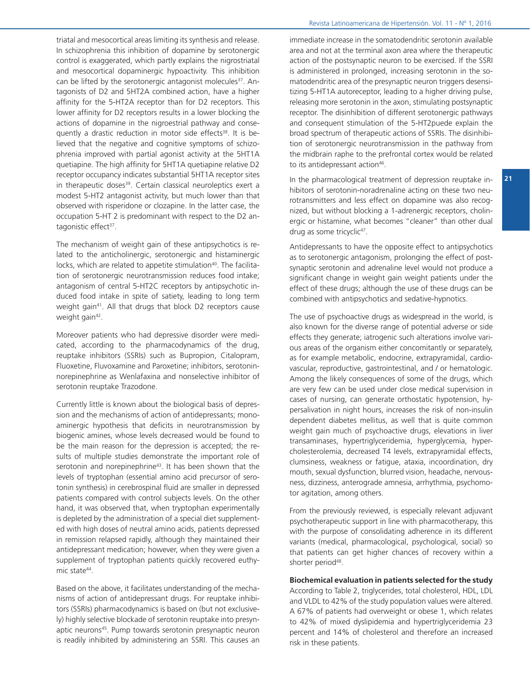triatal and mesocortical areas limiting its synthesis and release. In schizophrenia this inhibition of dopamine by serotonergic control is exaggerated, which partly explains the nigrostriatal and mesocortical dopaminergic hypoactivity. This inhibition can be lifted by the serotonergic antagonist molecules $37$ . Antagonists of D2 and 5HT2A combined action, have a higher affinity for the 5-HT2A receptor than for D2 receptors. This lower affinity for D2 receptors results in a lower blocking the actions of dopamine in the nigroestrial pathway and consequently a drastic reduction in motor side effects<sup>38</sup>. It is believed that the negative and cognitive symptoms of schizophrenia improved with partial agonist activity at the 5HT1A quetiapine. The high affinity for 5HT1A quetiapine relative D2 receptor occupancy indicates substantial 5HT1A receptor sites in therapeutic doses<sup>39</sup>. Certain classical neuroleptics exert a modest 5-HT2 antagonist activity, but much lower than that observed with risperidone or clozapine. In the latter case, the occupation 5-HT 2 is predominant with respect to the D2 antagonistic effect<sup>37</sup>.

The mechanism of weight gain of these antipsychotics is related to the anticholinergic, serotonergic and histaminergic locks, which are related to appetite stimulation<sup>40</sup>. The facilitation of serotonergic neurotransmission reduces food intake; antagonism of central 5-HT2C receptors by antipsychotic induced food intake in spite of satiety, leading to long term weight gain<sup>41</sup>. All that drugs that block D2 receptors cause weight gain<sup>42</sup>.

Moreover patients who had depressive disorder were medicated, according to the pharmacodynamics of the drug, reuptake inhibitors (SSRIs) such as Bupropion, Citalopram, Fluoxetine, Fluvoxamine and Paroxetine; inhibitors, serotoninnorepinephrine as Wenlafaxina and nonselective inhibitor of serotonin reuptake Trazodone.

Currently little is known about the biological basis of depression and the mechanisms of action of antidepressants; monoaminergic hypothesis that deficits in neurotransmission by biogenic amines, whose levels decreased would be found to be the main reason for the depression is accepted; the results of multiple studies demonstrate the important role of serotonin and norepinephrine<sup>43</sup>. It has been shown that the levels of tryptophan (essential amino acid precursor of serotonin synthesis) in cerebrospinal fluid are smaller in depressed patients compared with control subjects levels. On the other hand, it was observed that, when tryptophan experimentally is depleted by the administration of a special diet supplemented with high doses of neutral amino acids, patients depressed in remission relapsed rapidly, although they maintained their antidepressant medication; however, when they were given a supplement of tryptophan patients quickly recovered euthymic state<sup>44</sup>.

Based on the above, it facilitates understanding of the mechanisms of action of antidepressant drugs. For reuptake inhibitors (SSRIs) pharmacodynamics is based on (but not exclusively) highly selective blockade of serotonin reuptake into presynaptic neurons<sup>45</sup>. Pump towards serotonin presynaptic neuron is readily inhibited by administering an SSRI. This causes an immediate increase in the somatodendritic serotonin available area and not at the terminal axon area where the therapeutic action of the postsynaptic neuron to be exercised. If the SSRI is administered in prolonged, increasing serotonin in the somatodendritic area of the presynaptic neuron triggers desensitizing 5-HT1A autoreceptor, leading to a higher driving pulse, releasing more serotonin in the axon, stimulating postsynaptic receptor. The disinhibition of different serotonergic pathways and consequent stimulation of the 5-HT2puede explain the broad spectrum of therapeutic actions of SSRIs. The disinhibition of serotonergic neurotransmission in the pathway from the midbrain raphe to the prefrontal cortex would be related to its antidepressant action<sup>46</sup>.

In the pharmacological treatment of depression reuptake inhibitors of serotonin-noradrenaline acting on these two neurotransmitters and less effect on dopamine was also recognized, but without blocking a 1-adrenergic receptors, cholinergic or histamine, what becomes "cleaner" than other dual drug as some tricyclic<sup>47</sup>.

Antidepressants to have the opposite effect to antipsychotics as to serotonergic antagonism, prolonging the effect of postsynaptic serotonin and adrenaline level would not produce a significant change in weight gain weight patients under the effect of these drugs; although the use of these drugs can be combined with antipsychotics and sedative-hypnotics.

The use of psychoactive drugs as widespread in the world, is also known for the diverse range of potential adverse or side effects they generate; iatrogenic such alterations involve various areas of the organism either concomitantly or separately, as for example metabolic, endocrine, extrapyramidal, cardiovascular, reproductive, gastrointestinal, and / or hematologic. Among the likely consequences of some of the drugs, which are very few can be used under close medical supervision in cases of nursing, can generate orthostatic hypotension, hypersalivation in night hours, increases the risk of non-insulin dependent diabetes mellitus, as well that is quite common weight gain much of psychoactive drugs, elevations in liver transaminases, hypertriglyceridemia, hyperglycemia, hypercholesterolemia, decreased T4 levels, extrapyramidal effects, clumsiness, weakness or fatigue, ataxia, incoordination, dry mouth, sexual dysfunction, blurred vision, headache, nervousness, dizziness, anterograde amnesia, arrhythmia, psychomotor agitation, among others.

From the previously reviewed, is especially relevant adjuvant psychotherapeutic support in line with pharmacotherapy, this with the purpose of consolidating adherence in its different variants (medical, pharmacological, psychological, social) so that patients can get higher chances of recovery within a shorter period<sup>48</sup>.

**Biochemical evaluation in patients selected for the study**

According to Table 2, triglycerides, total cholesterol, HDL, LDL and VLDL to 42% of the study population values were altered. A 67% of patients had overweight or obese 1, which relates to 42% of mixed dyslipidemia and hypertriglyceridemia 23 percent and 14% of cholesterol and therefore an increased risk in these patients.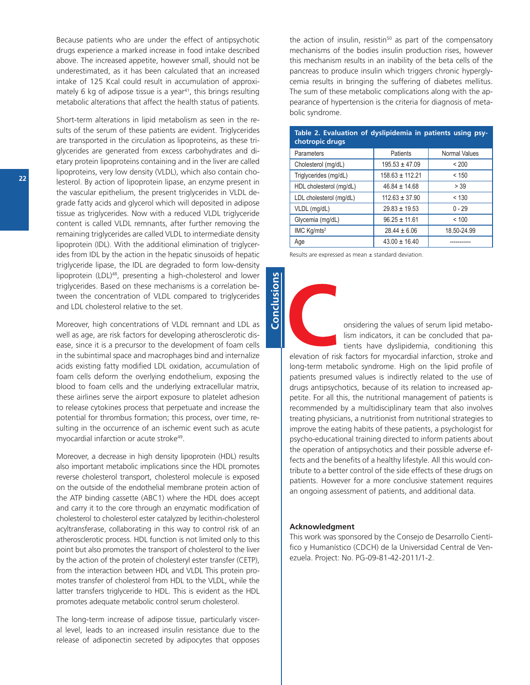Because patients who are under the effect of antipsychotic drugs experience a marked increase in food intake described above. The increased appetite, however small, should not be underestimated, as it has been calculated that an increased intake of 125 Kcal could result in accumulation of approximately 6 kg of adipose tissue is a year $41$ , this brings resulting metabolic alterations that affect the health status of patients.

Short-term alterations in lipid metabolism as seen in the results of the serum of these patients are evident. Triglycerides are transported in the circulation as lipoproteins, as these triglycerides are generated from excess carbohydrates and dietary protein lipoproteins containing and in the liver are called lipoproteins, very low density (VLDL), which also contain cholesterol. By action of lipoprotein lipase, an enzyme present in the vascular epithelium, the present triglycerides in VLDL degrade fatty acids and glycerol which will deposited in adipose tissue as triglycerides. Now with a reduced VLDL triglyceride content is called VLDL remnants, after further removing the remaining triglycerides are called VLDL to intermediate density lipoprotein (IDL). With the additional elimination of triglycerides from IDL by the action in the hepatic sinusoids of hepatic triglyceride lipase, the IDL are degraded to form low-density lipoprotein (LDL)48, presenting a high-cholesterol and lower triglycerides. Based on these mechanisms is a correlation between the concentration of VLDL compared to triglycerides and LDL cholesterol relative to the set.

Moreover, high concentrations of VLDL remnant and LDL as well as age, are risk factors for developing atherosclerotic disease, since it is a precursor to the development of foam cells in the subintimal space and macrophages bind and internalize acids existing fatty modified LDL oxidation, accumulation of foam cells deform the overlying endothelium, exposing the blood to foam cells and the underlying extracellular matrix, these airlines serve the airport exposure to platelet adhesion to release cytokines process that perpetuate and increase the potential for thrombus formation; this process, over time, resulting in the occurrence of an ischemic event such as acute myocardial infarction or acute stroke<sup>49</sup>.

Moreover, a decrease in high density lipoprotein (HDL) results also important metabolic implications since the HDL promotes reverse cholesterol transport, cholesterol molecule is exposed on the outside of the endothelial membrane protein action of the ATP binding cassette (ABC1) where the HDL does accept and carry it to the core through an enzymatic modification of cholesterol to cholesterol ester catalyzed by lecithin-cholesterol acyltransferase, collaborating in this way to control risk of an atherosclerotic process. HDL function is not limited only to this point but also promotes the transport of cholesterol to the liver by the action of the protein of cholesteryl ester transfer (CETP), from the interaction between HDL and VLDL This protein promotes transfer of cholesterol from HDL to the VLDL, while the latter transfers triglyceride to HDL. This is evident as the HDL promotes adequate metabolic control serum cholesterol.

The long-term increase of adipose tissue, particularly visceral level, leads to an increased insulin resistance due to the release of adiponectin secreted by adipocytes that opposes

the action of insulin, resistin<sup>50</sup> as part of the compensatory mechanisms of the bodies insulin production rises, however this mechanism results in an inability of the beta cells of the pancreas to produce insulin which triggers chronic hyperglycemia results in bringing the suffering of diabetes mellitus. The sum of these metabolic complications along with the appearance of hypertension is the criteria for diagnosis of metabolic syndrome.

| Table 2. Evaluation of dyslipidemia in patients using psy-<br>chotropic drugs |                     |               |  |  |  |  |
|-------------------------------------------------------------------------------|---------------------|---------------|--|--|--|--|
| Parameters                                                                    | Patients            | Normal Values |  |  |  |  |
| Cholesterol (mg/dL)                                                           | $195.53 \pm 47.09$  | < 200         |  |  |  |  |
| Triglycerides (mg/dL)                                                         | $158.63 \pm 112.21$ | < 150         |  |  |  |  |
| HDL cholesterol (mg/dL)                                                       | $46.84 \pm 14.68$   | > 39          |  |  |  |  |
| LDL cholesterol (mg/dL)                                                       | $112.63 \pm 37.90$  | < 130         |  |  |  |  |
| VLDL (mg/dL)                                                                  | $29.83 \pm 19.53$   | $0 - 29$      |  |  |  |  |
| Glycemia (mg/dL)                                                              | $96.25 \pm 11.61$   | < 100         |  |  |  |  |
| IMC $Kg/mts^2$                                                                | $28.44 \pm 6.06$    | 18.50-24.99   |  |  |  |  |
| Age                                                                           | $43.00 \pm 16.40$   |               |  |  |  |  |

Results are expressed as mean ± standard deviation.

Conclusions **Conclusions**

onsidering the values of serum lipid metabolism indicators, it can be concluded that patients have dyslipidemia, conditioning this

elevation of risk factors for myocardial infarction, stroke and long-term metabolic syndrome. High on the lipid profile of patients presumed values is indirectly related to the use of drugs antipsychotics, because of its relation to increased appetite. For all this, the nutritional management of patients is recommended by a multidisciplinary team that also involves treating physicians, a nutritionist from nutritional strategies to improve the eating habits of these patients, a psychologist for psycho-educational training directed to inform patients about the operation of antipsychotics and their possible adverse effects and the benefits of a healthy lifestyle. All this would contribute to a better control of the side effects of these drugs on patients. However for a more conclusive statement requires an ongoing assessment of patients, and additional data.

## **Acknowledgment**

This work was sponsored by the Consejo de Desarrollo Científico y Humanístico (CDCH) de la Universidad Central de Venezuela. Project: No. PG-09-81-42-2011/1-2.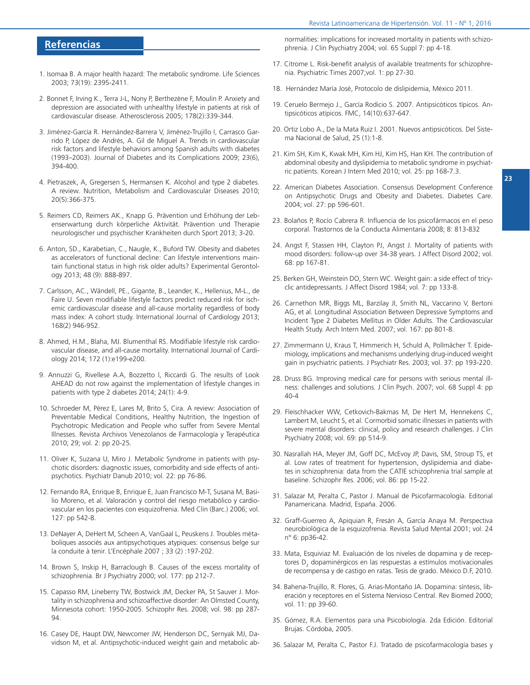## **Referencias**

- 1. Isomaa B. A major health hazard: The metabolic syndrome. Life Sciences 2003; 73(19): 2395-2411.
- 2. Bonnet F, Irving K., Terra J-L, Nony P, Berthezène F, Moulin P. Anxiety and depression are associated with unhealthy lifestyle in patients at risk of cardiovascular disease. Atherosclerosis 2005; 178(2):339-344.
- 3. Jiménez-García R. Hernández-Barrera V, Jiménez-Trujillo I, Carrasco Garrido P, López de Andrés, A. Gil de Miguel A. Trends in cardiovascular risk factors and lifestyle behaviors among Spanish adults with diabetes (1993–2003). Journal of Diabetes and its Complications 2009; 23(6), 394-400.
- 4. Pietraszek, A, Gregersen S, Hermansen K. Alcohol and type 2 diabetes. A review. Nutrition, Metabolism and Cardiovascular Diseases 2010; 20(5):366-375.
- 5. Reimers CD, Reimers AK., Knapp G. Prävention und Erhöhung der Lebenserwartung durch körperliche Aktivität. Prävention und Therapie neurologischer und psychischer Krankheiten durch Sport 2013; 3-20.
- 6. Anton, SD., Karabetian, C., Naugle, K., Buford TW. Obesity and diabetes as accelerators of functional decline: Can lifestyle interventions maintain functional status in high risk older adults? Experimental Gerontology 2013; 48 (9): 888-897.
- 7. Carlsson, AC., Wändell, PE., Gigante, B., Leander, K., Hellenius, M-L., de Faire U. Seven modifiable lifestyle factors predict reduced risk for ischemic cardiovascular disease and all-cause mortality regardless of body mass index: A cohort study. International Journal of Cardiology 2013; 168(2) 946-952.
- 8. Ahmed, H.M., Blaha, MJ. Blumenthal RS. Modifiable lifestyle risk cardiovascular disease, and all-cause mortality. International Journal of Cardiology 2014; 172 (1):e199-e200.
- 9. Annuzzi G, Rivellese A.A, Bozzetto l, Riccardi G. The results of Look AHEAD do not row against the implementation of lifestyle changes in patients with type 2 diabetes 2014; 24(1): 4-9.
- 10. Schroeder M, Pérez E, Lares M, Brito S, Cira. A review: Association of Preventable Medical Conditions, Healthy Nutrition, the Ingestion of Psychotropic Medication and People who suffer from Severe Mental Illnesses. Revista Archivos Venezolanos de Farmacología y Terapéutica 2010; 29; vol. 2: pp 20-25.
- 11. Oliver K, Suzana U, Miro J. Metabolic Syndrome in patients with psychotic disorders: diagnostic issues, comorbidity and side effects of antipsychotics. Psychiatr Danub 2010; vol. 22: pp 76-86.
- 12. Fernando RA, Enrique B, Enrique E, Juan Francisco M-T, Susana M, Basilio Moreno, et al. Valoración y control del riesgo metabólico y cardiovascular en los pacientes con esquizofrenia. Med Clin (Barc.) 2006; vol. 127: pp 542-8.
- 13. DeNayer A, DeHert M, Scheen A, VanGaal L, Peuskens J. Troubles métaboliques associés aux antipsychotiques atypiques: consensus belge sur la conduite à tenir. L'Encéphale 2007 ; 33 (2) :197-202.
- 14. Brown S, Inskip H, Barraclough B. Causes of the excess mortality of schizophrenia. Br J Psychiatry 2000; vol. 177: pp 212-7.
- 15. Capasso RM, Lineberry TW, Bostwick JM, Decker PA, St Sauver J. Mortality in schizophrenia and schizoaffective disorder: An Olmsted County, Minnesota cohort: 1950-2005. Schizophr Res. 2008; vol. 98: pp 287- 94.
- 16. Casey DE, Haupt DW, Newcomer JW, Henderson DC, Sernyak MJ, Davidson M, et al. Antipsychotic-induced weight gain and metabolic ab-

normalities: implications for increased mortality in patients with schizophrenia. J Clin Psychiatry 2004; vol. 65 Suppl 7: pp 4-18.

- 17. Citrome L. Risk-benefit analysis of available treatments for schizophrenia. Psychiatric Times 2007;vol. 1: pp 27-30.
- 18. Hernández María José, Protocolo de dislipidemia, México 2011.
- 19. Ceruelo Bermejo J., García Rodicio S. 2007. Antipsicóticos típicos. Antipsicóticos atípicos. FMC, 14(10):637-647.
- 20. Ortiz Lobo A., De la Mata Ruiz I. 2001. Nuevos antipsicóticos. Del Sistema Nacional de Salud, 25 (1):1-8.
- 21. Kim SH, Kim K, Kwak MH, Kim HJ, Kim HS, Han KH. The contribution of abdominal obesity and dyslipidemia to metabolic syndrome in psychiatric patients. Korean J Intern Med 2010; vol. 25: pp 168-7.3.

**23**

- 22. American Diabetes Association. Consensus Development Conference on Antipsychotic Drugs and Obesity and Diabetes. Diabetes Care. 2004; vol. 27: pp 596-601.
- 23. Bolaños P, Rocío Cabrera R. Influencia de los psicofármacos en el peso corporal. Trastornos de la Conducta Alimentaria 2008; 8: 813-832
- 24. Angst F, Stassen HH, Clayton PJ, Angst J. Mortality of patients with mood disorders: follow-up over 34-38 years. J Affect Disord 2002; vol. 68: pp 167-81.
- 25. Berken GH, Weinstein DO, Stern WC. Weight gain: a side effect of tricyclic antidepressants. J Affect Disord 1984; vol. 7: pp 133-8.
- 26. Carnethon MR, Biggs ML, Barzilay JI, Smith NL, Vaccarino V, Bertoni AG, et al. Longitudinal Association Between Depressive Symptoms and Incident Type 2 Diabetes Mellitus in Older Adults. The Cardiovascular Health Study. Arch Intern Med. 2007; vol. 167: pp 801-8.
- 27. Zimmermann U, Kraus T, Himmerich H, Schuld A, Pollmächer T. Epidemiology, implications and mechanisms underlying drug-induced weight gain in psychiatric patients. J Psychiatr Res. 2003; vol. 37: pp 193-220.
- 28. Druss BG. Improving medical care for persons with serious mental illness: challenges and solutions. J Clin Psych. 2007; vol. 68 Suppl 4: pp 40-4
- 29. Fleischhacker WW, Cetkovich-Bakmas M, De Hert M, Hennekens C, Lambert M, Leucht S, et al. Cormorbid somatic illnesses in patients with severe mental disorders: clinical, policy and research challenges. J Clin Psychiatry 2008; vol. 69: pp 514-9.
- 30. Nasrallah HA, Meyer JM, Goff DC, McEvoy JP, Davis, SM, Stroup TS, et al. Low rates of treatment for hypertension, dyslipidemia and diabetes in schizophrenia: data from the CATIE schizophrenia trial sample at baseline. Schizophr Res. 2006; vol. 86: pp 15-22.
- 31. Salazar M, Peralta C, Pastor J. Manual de Psicofarmacología. Editorial Panamericana. Madrid, España. 2006.
- 32. Graff-Guerreo A, Apiquian R, Fresán A, García Anaya M. Perspectiva neurobiológica de la esquizofrenia. Revista Salud Mental 2001; vol. 24 n° 6: pp36-42.
- 33. Mata, Esquiviaz M. Evaluación de los niveles de dopamina y de receptores D $_{\rm _2}$  dopaminérgicos en las respuestas a estímulos motivacionales de recompensa y de castigo en ratas. Tesis de grado. México D.F, 2010.
- 34. Bahena-Trujillo, R. Flores, G. Arias-Montaño JA. Dopamina: síntesis, liberación y receptores en el Sistema Nervioso Central. Rev Biomed 2000; vol. 11: pp 39-60.
- 35. Gómez, R.A. Elementos para una Psicobiología. 2da Edición. Editorial Brujas. Córdoba, 2005.
- 36. Salazar M, Peralta C, Pastor F.J. Tratado de psicofarmacología bases y